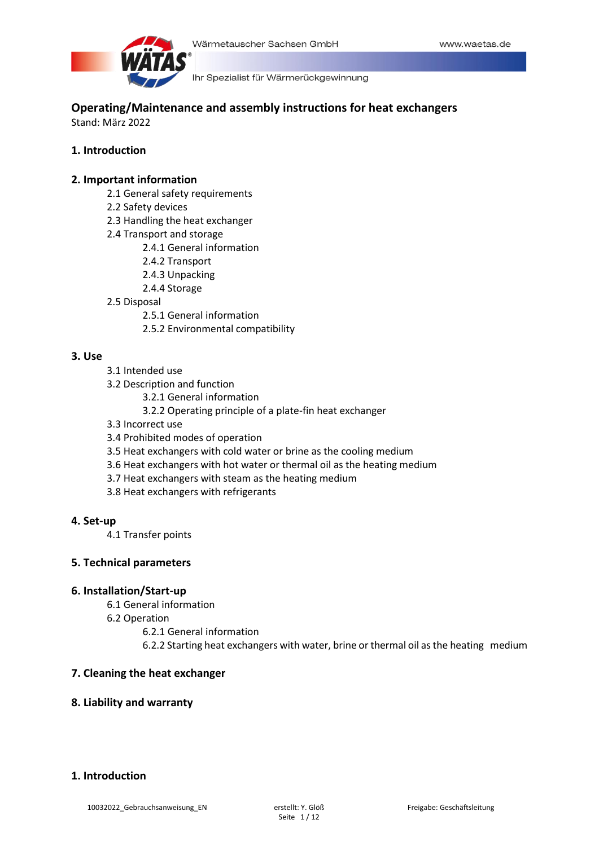

**Operating/Maintenance and assembly instructions for heat exchangers** Stand: März 2022

## **1. Introduction**

## **2. Important information**

- 2.1 General safety requirements
- 2.2 Safety devices
- 2.3 Handling the heat exchanger
- 2.4 Transport and storage
	- 2.4.1 General information
	- 2.4.2 Transport
	- 2.4.3 Unpacking
	- 2.4.4 Storage
- 2.5 Disposal
	- 2.5.1 General information
	- 2.5.2 Environmental compatibility

## **3. Use**

- 3.1 Intended use
- 3.2 Description and function
	- 3.2.1 General information
	- 3.2.2 Operating principle of a plate-fin heat exchanger
- 3.3 Incorrect use
- 3.4 Prohibited modes of operation
- 3.5 Heat exchangers with cold water or brine as the cooling medium
- 3.6 Heat exchangers with hot water or thermal oil as the heating medium
- 3.7 Heat exchangers with steam as the heating medium
- 3.8 Heat exchangers with refrigerants

## **4. Set-up**

4.1 Transfer points

## **5. Technical parameters**

## **6. Installation/Start-up**

- 6.1 General information
- 6.2 Operation
	- 6.2.1 General information
	- 6.2.2 Starting heat exchangers with water, brine or thermal oil as the heating medium

## **7. Cleaning the heat exchanger**

## **8. Liability and warranty**

# **1. Introduction**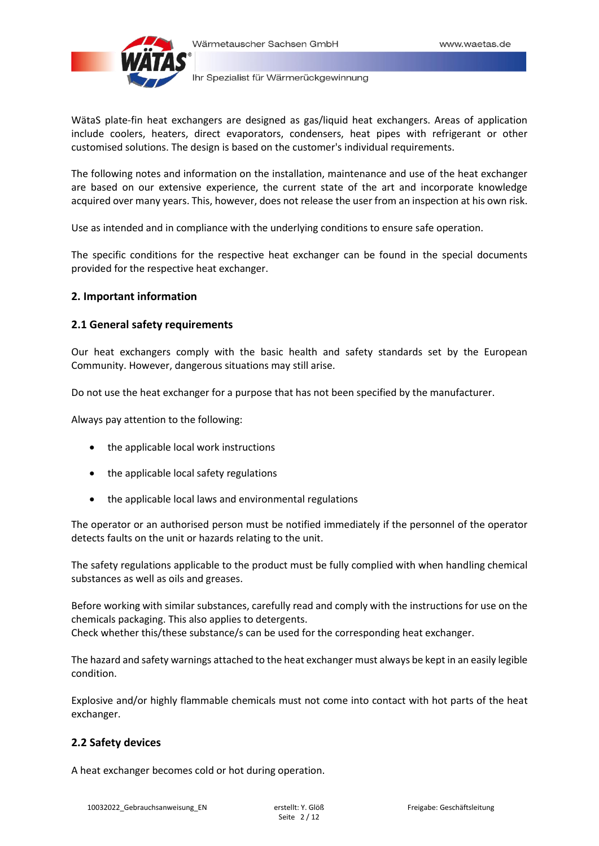

WätaS plate-fin heat exchangers are designed as gas/liquid heat exchangers. Areas of application include coolers, heaters, direct evaporators, condensers, heat pipes with refrigerant or other customised solutions. The design is based on the customer's individual requirements.

The following notes and information on the installation, maintenance and use of the heat exchanger are based on our extensive experience, the current state of the art and incorporate knowledge acquired over many years. This, however, does not release the user from an inspection at his own risk.

Use as intended and in compliance with the underlying conditions to ensure safe operation.

The specific conditions for the respective heat exchanger can be found in the special documents provided for the respective heat exchanger.

## **2. Important information**

#### **2.1 General safety requirements**

Our heat exchangers comply with the basic health and safety standards set by the European Community. However, dangerous situations may still arise.

Do not use the heat exchanger for a purpose that has not been specified by the manufacturer.

Always pay attention to the following:

- the applicable local work instructions
- the applicable local safety regulations
- the applicable local laws and environmental regulations

The operator or an authorised person must be notified immediately if the personnel of the operator detects faults on the unit or hazards relating to the unit.

The safety regulations applicable to the product must be fully complied with when handling chemical substances as well as oils and greases.

Before working with similar substances, carefully read and comply with the instructions for use on the chemicals packaging. This also applies to detergents. Check whether this/these substance/s can be used for the corresponding heat exchanger.

The hazard and safety warnings attached to the heat exchanger must always be kept in an easily legible condition.

Explosive and/or highly flammable chemicals must not come into contact with hot parts of the heat exchanger.

## **2.2 Safety devices**

A heat exchanger becomes cold or hot during operation.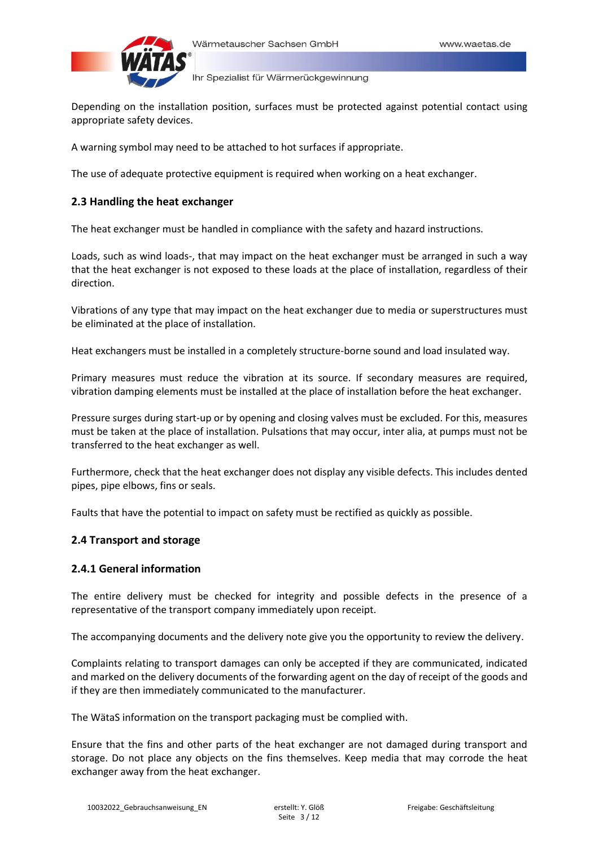

Depending on the installation position, surfaces must be protected against potential contact using appropriate safety devices.

A warning symbol may need to be attached to hot surfaces if appropriate.

The use of adequate protective equipment is required when working on a heat exchanger.

# **2.3 Handling the heat exchanger**

The heat exchanger must be handled in compliance with the safety and hazard instructions.

Loads, such as wind loads-, that may impact on the heat exchanger must be arranged in such a way that the heat exchanger is not exposed to these loads at the place of installation, regardless of their direction.

Vibrations of any type that may impact on the heat exchanger due to media or superstructures must be eliminated at the place of installation.

Heat exchangers must be installed in a completely structure-borne sound and load insulated way.

Primary measures must reduce the vibration at its source. If secondary measures are required, vibration damping elements must be installed at the place of installation before the heat exchanger.

Pressure surges during start-up or by opening and closing valves must be excluded. For this, measures must be taken at the place of installation. Pulsations that may occur, inter alia, at pumps must not be transferred to the heat exchanger as well.

Furthermore, check that the heat exchanger does not display any visible defects. This includes dented pipes, pipe elbows, fins or seals.

Faults that have the potential to impact on safety must be rectified as quickly as possible.

# **2.4 Transport and storage**

# **2.4.1 General information**

The entire delivery must be checked for integrity and possible defects in the presence of a representative of the transport company immediately upon receipt.

The accompanying documents and the delivery note give you the opportunity to review the delivery.

Complaints relating to transport damages can only be accepted if they are communicated, indicated and marked on the delivery documents of the forwarding agent on the day of receipt of the goods and if they are then immediately communicated to the manufacturer.

The WätaS information on the transport packaging must be complied with.

Ensure that the fins and other parts of the heat exchanger are not damaged during transport and storage. Do not place any objects on the fins themselves. Keep media that may corrode the heat exchanger away from the heat exchanger.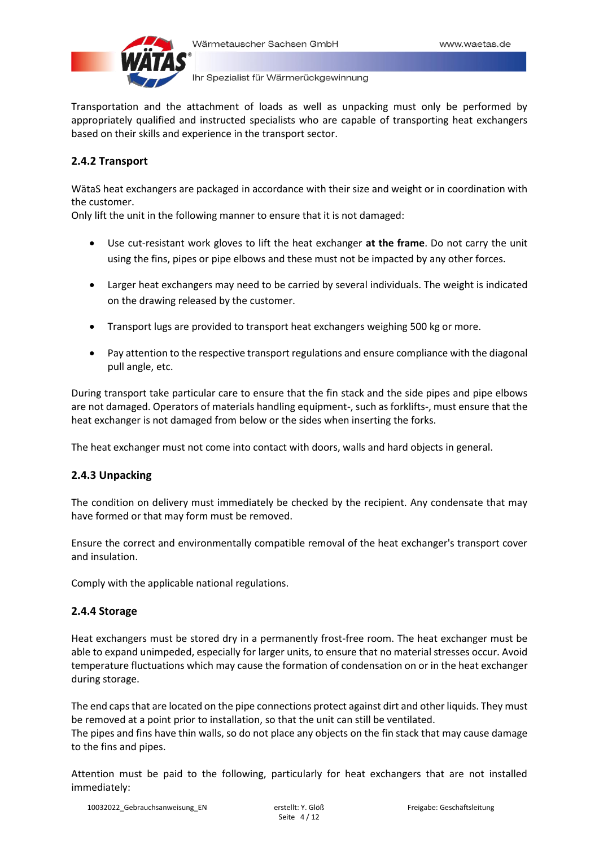

Transportation and the attachment of loads as well as unpacking must only be performed by appropriately qualified and instructed specialists who are capable of transporting heat exchangers based on their skills and experience in the transport sector.

# **2.4.2 Transport**

WätaS heat exchangers are packaged in accordance with their size and weight or in coordination with the customer.

Only lift the unit in the following manner to ensure that it is not damaged:

- Use cut-resistant work gloves to lift the heat exchanger **at the frame**. Do not carry the unit using the fins, pipes or pipe elbows and these must not be impacted by any other forces.
- Larger heat exchangers may need to be carried by several individuals. The weight is indicated on the drawing released by the customer.
- Transport lugs are provided to transport heat exchangers weighing 500 kg or more.
- Pay attention to the respective transport regulations and ensure compliance with the diagonal pull angle, etc.

During transport take particular care to ensure that the fin stack and the side pipes and pipe elbows are not damaged. Operators of materials handling equipment-, such as forklifts-, must ensure that the heat exchanger is not damaged from below or the sides when inserting the forks.

The heat exchanger must not come into contact with doors, walls and hard objects in general.

# **2.4.3 Unpacking**

The condition on delivery must immediately be checked by the recipient. Any condensate that may have formed or that may form must be removed.

Ensure the correct and environmentally compatible removal of the heat exchanger's transport cover and insulation.

Comply with the applicable national regulations.

# **2.4.4 Storage**

Heat exchangers must be stored dry in a permanently frost-free room. The heat exchanger must be able to expand unimpeded, especially for larger units, to ensure that no material stresses occur. Avoid temperature fluctuations which may cause the formation of condensation on or in the heat exchanger during storage.

The end caps that are located on the pipe connections protect against dirt and other liquids. They must be removed at a point prior to installation, so that the unit can still be ventilated. The pipes and fins have thin walls, so do not place any objects on the fin stack that may cause damage to the fins and pipes.

Attention must be paid to the following, particularly for heat exchangers that are not installed immediately: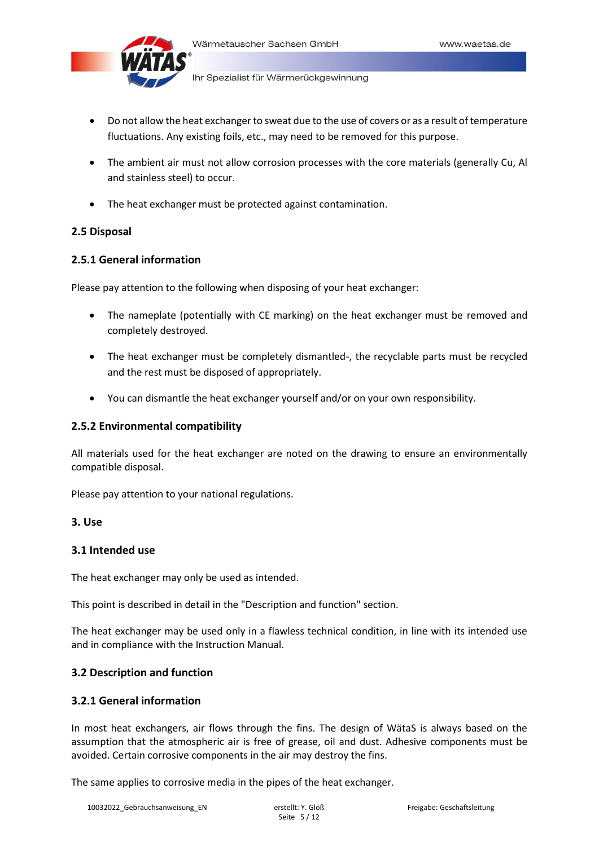

- Do not allow the heat exchanger to sweat due to the use of covers or as a result of temperature fluctuations. Any existing foils, etc., may need to be removed for this purpose.
- The ambient air must not allow corrosion processes with the core materials (generally Cu, Al and stainless steel) to occur.
- The heat exchanger must be protected against contamination.

## **2.5 Disposal**

## **2.5.1 General information**

Please pay attention to the following when disposing of your heat exchanger:

- The nameplate (potentially with CE marking) on the heat exchanger must be removed and completely destroyed.
- The heat exchanger must be completely dismantled-, the recyclable parts must be recycled and the rest must be disposed of appropriately.
- You can dismantle the heat exchanger yourself and/or on your own responsibility.

## **2.5.2 Environmental compatibility**

All materials used for the heat exchanger are noted on the drawing to ensure an environmentally compatible disposal.

Please pay attention to your national regulations.

## **3. Use**

## **3.1 Intended use**

The heat exchanger may only be used as intended.

This point is described in detail in the "Description and function" section.

The heat exchanger may be used only in a flawless technical condition, in line with its intended use and in compliance with the Instruction Manual.

## **3.2 Description and function**

## **3.2.1 General information**

In most heat exchangers, air flows through the fins. The design of WätaS is always based on the assumption that the atmospheric air is free of grease, oil and dust. Adhesive components must be avoided. Certain corrosive components in the air may destroy the fins.

The same applies to corrosive media in the pipes of the heat exchanger.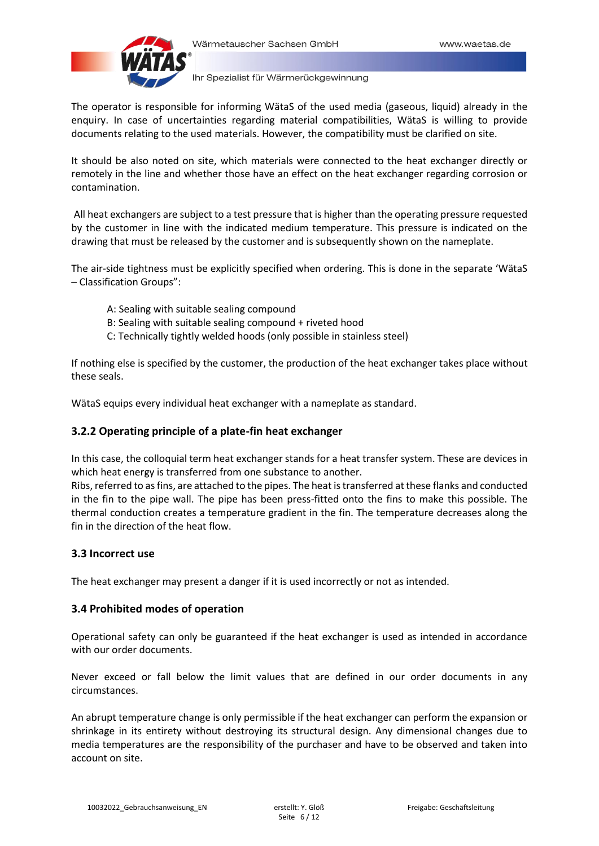

The operator is responsible for informing WätaS of the used media (gaseous, liquid) already in the enquiry. In case of uncertainties regarding material compatibilities, WätaS is willing to provide documents relating to the used materials. However, the compatibility must be clarified on site.

It should be also noted on site, which materials were connected to the heat exchanger directly or remotely in the line and whether those have an effect on the heat exchanger regarding corrosion or contamination.

All heat exchangers are subject to a test pressure that is higher than the operating pressure requested by the customer in line with the indicated medium temperature. This pressure is indicated on the drawing that must be released by the customer and is subsequently shown on the nameplate.

The air-side tightness must be explicitly specified when ordering. This is done in the separate 'WätaS – Classification Groups":

- A: Sealing with suitable sealing compound
- B: Sealing with suitable sealing compound + riveted hood
- C: Technically tightly welded hoods (only possible in stainless steel)

If nothing else is specified by the customer, the production of the heat exchanger takes place without these seals.

WätaS equips every individual heat exchanger with a nameplate as standard.

# **3.2.2 Operating principle of a plate-fin heat exchanger**

In this case, the colloquial term heat exchanger stands for a heat transfer system. These are devices in which heat energy is transferred from one substance to another.

Ribs, referred to as fins, are attached to the pipes. The heat is transferred at these flanks and conducted in the fin to the pipe wall. The pipe has been press-fitted onto the fins to make this possible. The thermal conduction creates a temperature gradient in the fin. The temperature decreases along the fin in the direction of the heat flow.

## **3.3 Incorrect use**

The heat exchanger may present a danger if it is used incorrectly or not as intended.

# **3.4 Prohibited modes of operation**

Operational safety can only be guaranteed if the heat exchanger is used as intended in accordance with our order documents.

Never exceed or fall below the limit values that are defined in our order documents in any circumstances.

An abrupt temperature change is only permissible if the heat exchanger can perform the expansion or shrinkage in its entirety without destroying its structural design. Any dimensional changes due to media temperatures are the responsibility of the purchaser and have to be observed and taken into account on site.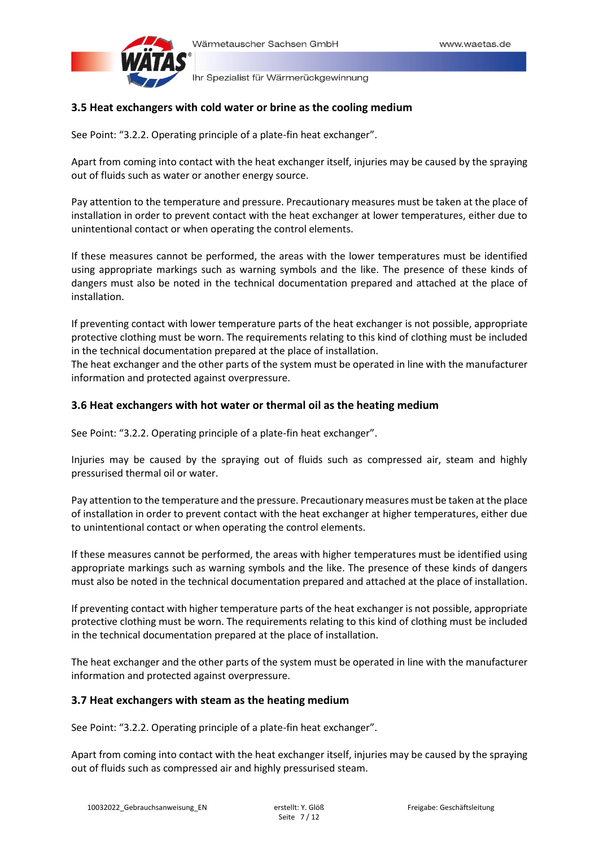

## **3.5 Heat exchangers with cold water or brine as the cooling medium**

See Point: "3.2.2. Operating principle of a plate-fin heat exchanger".

Apart from coming into contact with the heat exchanger itself, injuries may be caused by the spraying out of fluids such as water or another energy source.

Pay attention to the temperature and pressure. Precautionary measures must be taken at the place of installation in order to prevent contact with the heat exchanger at lower temperatures, either due to unintentional contact or when operating the control elements.

If these measures cannot be performed, the areas with the lower temperatures must be identified using appropriate markings such as warning symbols and the like. The presence of these kinds of dangers must also be noted in the technical documentation prepared and attached at the place of installation.

If preventing contact with lower temperature parts of the heat exchanger is not possible, appropriate protective clothing must be worn. The requirements relating to this kind of clothing must be included in the technical documentation prepared at the place of installation.

The heat exchanger and the other parts of the system must be operated in line with the manufacturer information and protected against overpressure.

## **3.6 Heat exchangers with hot water or thermal oil as the heating medium**

See Point: "3.2.2. Operating principle of a plate-fin heat exchanger".

Injuries may be caused by the spraying out of fluids such as compressed air, steam and highly pressurised thermal oil or water.

Pay attention to the temperature and the pressure. Precautionary measures must be taken at the place of installation in order to prevent contact with the heat exchanger at higher temperatures, either due to unintentional contact or when operating the control elements.

If these measures cannot be performed, the areas with higher temperatures must be identified using appropriate markings such as warning symbols and the like. The presence of these kinds of dangers must also be noted in the technical documentation prepared and attached at the place of installation.

If preventing contact with higher temperature parts of the heat exchanger is not possible, appropriate protective clothing must be worn. The requirements relating to this kind of clothing must be included in the technical documentation prepared at the place of installation.

The heat exchanger and the other parts of the system must be operated in line with the manufacturer information and protected against overpressure.

## **3.7 Heat exchangers with steam as the heating medium**

See Point: "3.2.2. Operating principle of a plate-fin heat exchanger".

Apart from coming into contact with the heat exchanger itself, injuries may be caused by the spraying out of fluids such as compressed air and highly pressurised steam.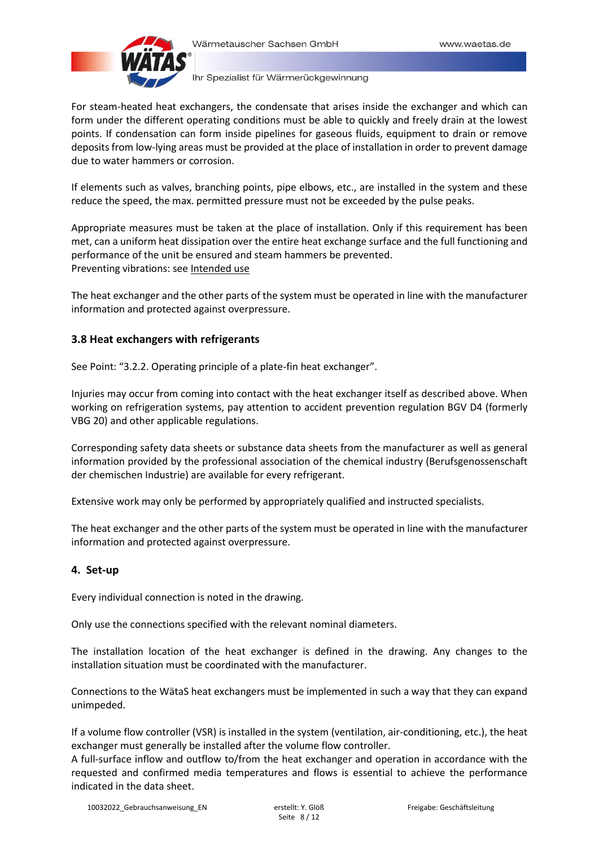

For steam-heated heat exchangers, the condensate that arises inside the exchanger and which can form under the different operating conditions must be able to quickly and freely drain at the lowest points. If condensation can form inside pipelines for gaseous fluids, equipment to drain or remove deposits from low-lying areas must be provided at the place of installation in order to prevent damage due to water hammers or corrosion.

If elements such as valves, branching points, pipe elbows, etc., are installed in the system and these reduce the speed, the max. permitted pressure must not be exceeded by the pulse peaks.

Appropriate measures must be taken at the place of installation. Only if this requirement has been met, can a uniform heat dissipation over the entire heat exchange surface and the full functioning and performance of the unit be ensured and steam hammers be prevented. Preventing vibrations: see Intended use

The heat exchanger and the other parts of the system must be operated in line with the manufacturer information and protected against overpressure.

# **3.8 Heat exchangers with refrigerants**

See Point: "3.2.2. Operating principle of a plate-fin heat exchanger".

Injuries may occur from coming into contact with the heat exchanger itself as described above. When working on refrigeration systems, pay attention to accident prevention regulation BGV D4 (formerly VBG 20) and other applicable regulations.

Corresponding safety data sheets or substance data sheets from the manufacturer as well as general information provided by the professional association of the chemical industry (Berufsgenossenschaft der chemischen Industrie) are available for every refrigerant.

Extensive work may only be performed by appropriately qualified and instructed specialists.

The heat exchanger and the other parts of the system must be operated in line with the manufacturer information and protected against overpressure.

# **4. Set-up**

Every individual connection is noted in the drawing.

Only use the connections specified with the relevant nominal diameters.

The installation location of the heat exchanger is defined in the drawing. Any changes to the installation situation must be coordinated with the manufacturer.

Connections to the WätaS heat exchangers must be implemented in such a way that they can expand unimpeded.

If a volume flow controller (VSR) is installed in the system (ventilation, air-conditioning, etc.), the heat exchanger must generally be installed after the volume flow controller.

A full-surface inflow and outflow to/from the heat exchanger and operation in accordance with the requested and confirmed media temperatures and flows is essential to achieve the performance indicated in the data sheet.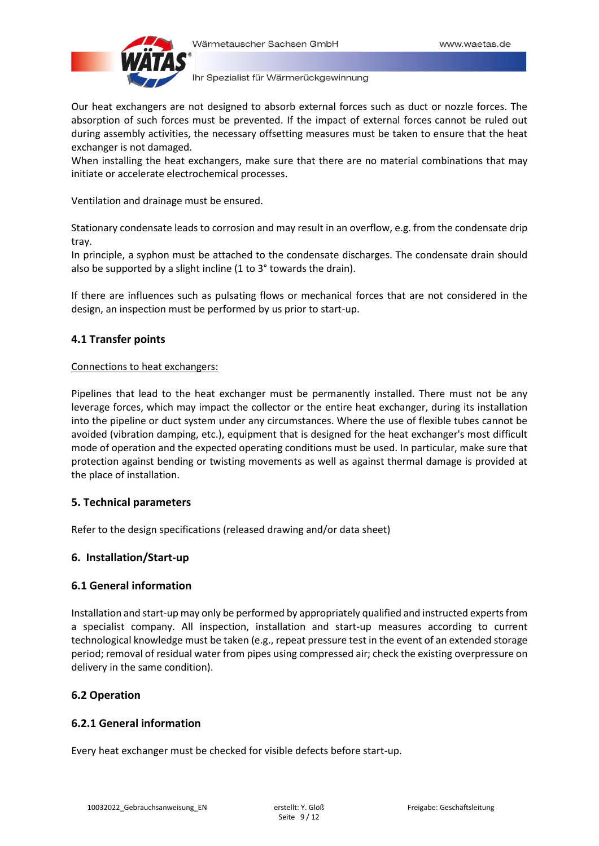

Our heat exchangers are not designed to absorb external forces such as duct or nozzle forces. The absorption of such forces must be prevented. If the impact of external forces cannot be ruled out during assembly activities, the necessary offsetting measures must be taken to ensure that the heat exchanger is not damaged.

When installing the heat exchangers, make sure that there are no material combinations that may initiate or accelerate electrochemical processes.

Ventilation and drainage must be ensured.

Stationary condensate leads to corrosion and may result in an overflow, e.g. from the condensate drip tray.

In principle, a syphon must be attached to the condensate discharges. The condensate drain should also be supported by a slight incline (1 to 3° towards the drain).

If there are influences such as pulsating flows or mechanical forces that are not considered in the design, an inspection must be performed by us prior to start-up.

# **4.1 Transfer points**

## Connections to heat exchangers:

Pipelines that lead to the heat exchanger must be permanently installed. There must not be any leverage forces, which may impact the collector or the entire heat exchanger, during its installation into the pipeline or duct system under any circumstances. Where the use of flexible tubes cannot be avoided (vibration damping, etc.), equipment that is designed for the heat exchanger's most difficult mode of operation and the expected operating conditions must be used. In particular, make sure that protection against bending or twisting movements as well as against thermal damage is provided at the place of installation.

# **5. Technical parameters**

Refer to the design specifications (released drawing and/or data sheet)

# **6. Installation/Start-up**

# **6.1 General information**

Installation and start-up may only be performed by appropriately qualified and instructed experts from a specialist company. All inspection, installation and start-up measures according to current technological knowledge must be taken (e.g., repeat pressure test in the event of an extended storage period; removal of residual water from pipes using compressed air; check the existing overpressure on delivery in the same condition).

# **6.2 Operation**

# **6.2.1 General information**

Every heat exchanger must be checked for visible defects before start-up.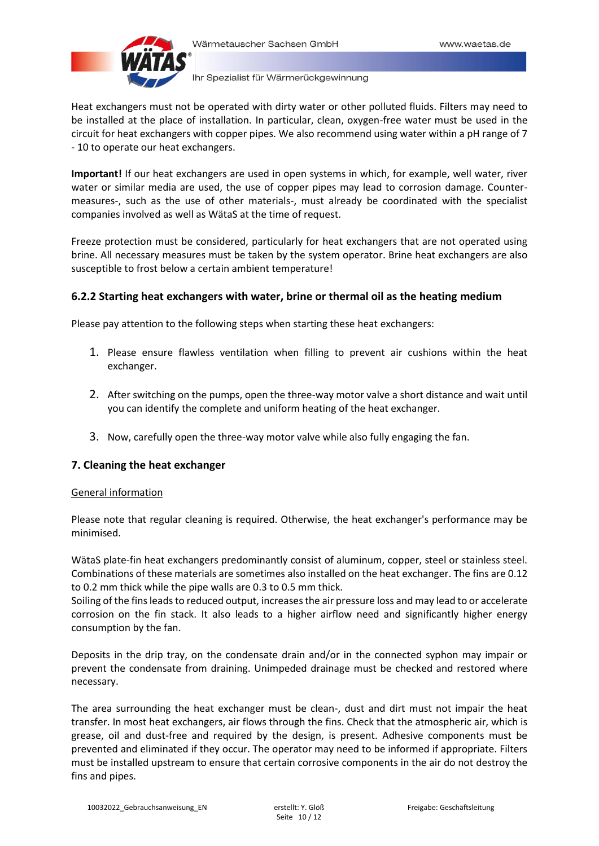

Heat exchangers must not be operated with dirty water or other polluted fluids. Filters may need to be installed at the place of installation. In particular, clean, oxygen-free water must be used in the circuit for heat exchangers with copper pipes. We also recommend using water within a pH range of 7 - 10 to operate our heat exchangers.

**Important!** If our heat exchangers are used in open systems in which, for example, well water, river water or similar media are used, the use of copper pipes may lead to corrosion damage. Countermeasures-, such as the use of other materials-, must already be coordinated with the specialist companies involved as well as WätaS at the time of request.

Freeze protection must be considered, particularly for heat exchangers that are not operated using brine. All necessary measures must be taken by the system operator. Brine heat exchangers are also susceptible to frost below a certain ambient temperature!

# **6.2.2 Starting heat exchangers with water, brine or thermal oil as the heating medium**

Please pay attention to the following steps when starting these heat exchangers:

- 1. Please ensure flawless ventilation when filling to prevent air cushions within the heat exchanger.
- 2. After switching on the pumps, open the three-way motor valve a short distance and wait until you can identify the complete and uniform heating of the heat exchanger.
- 3. Now, carefully open the three-way motor valve while also fully engaging the fan.

# **7. Cleaning the heat exchanger**

## General information

Please note that regular cleaning is required. Otherwise, the heat exchanger's performance may be minimised.

WätaS plate-fin heat exchangers predominantly consist of aluminum, copper, steel or stainless steel. Combinations of these materials are sometimes also installed on the heat exchanger. The fins are 0.12 to 0.2 mm thick while the pipe walls are 0.3 to 0.5 mm thick.

Soiling of the fins leads to reduced output, increases the air pressure loss and may lead to or accelerate corrosion on the fin stack. It also leads to a higher airflow need and significantly higher energy consumption by the fan.

Deposits in the drip tray, on the condensate drain and/or in the connected syphon may impair or prevent the condensate from draining. Unimpeded drainage must be checked and restored where necessary.

The area surrounding the heat exchanger must be clean-, dust and dirt must not impair the heat transfer. In most heat exchangers, air flows through the fins. Check that the atmospheric air, which is grease, oil and dust-free and required by the design, is present. Adhesive components must be prevented and eliminated if they occur. The operator may need to be informed if appropriate. Filters must be installed upstream to ensure that certain corrosive components in the air do not destroy the fins and pipes.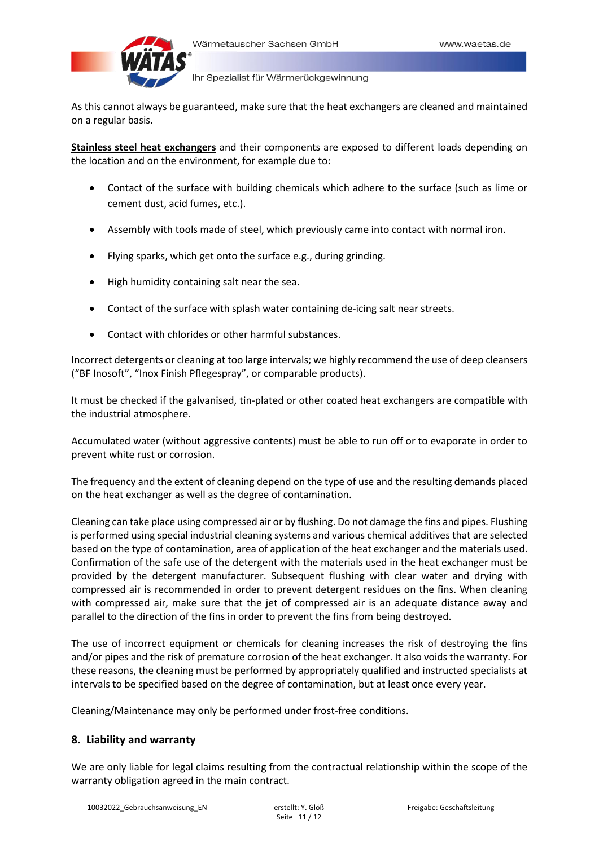

As this cannot always be guaranteed, make sure that the heat exchangers are cleaned and maintained on a regular basis.

**Stainless steel heat exchangers** and their components are exposed to different loads depending on the location and on the environment, for example due to:

- Contact of the surface with building chemicals which adhere to the surface (such as lime or cement dust, acid fumes, etc.).
- Assembly with tools made of steel, which previously came into contact with normal iron.
- Flying sparks, which get onto the surface e.g., during grinding.
- High humidity containing salt near the sea.
- Contact of the surface with splash water containing de-icing salt near streets.
- Contact with chlorides or other harmful substances.

Incorrect detergents or cleaning at too large intervals; we highly recommend the use of deep cleansers ("BF Inosoft", "Inox Finish Pflegespray", or comparable products).

It must be checked if the galvanised, tin-plated or other coated heat exchangers are compatible with the industrial atmosphere.

Accumulated water (without aggressive contents) must be able to run off or to evaporate in order to prevent white rust or corrosion.

The frequency and the extent of cleaning depend on the type of use and the resulting demands placed on the heat exchanger as well as the degree of contamination.

Cleaning can take place using compressed air or by flushing. Do not damage the fins and pipes. Flushing is performed using special industrial cleaning systems and various chemical additives that are selected based on the type of contamination, area of application of the heat exchanger and the materials used. Confirmation of the safe use of the detergent with the materials used in the heat exchanger must be provided by the detergent manufacturer. Subsequent flushing with clear water and drying with compressed air is recommended in order to prevent detergent residues on the fins. When cleaning with compressed air, make sure that the jet of compressed air is an adequate distance away and parallel to the direction of the fins in order to prevent the fins from being destroyed.

The use of incorrect equipment or chemicals for cleaning increases the risk of destroying the fins and/or pipes and the risk of premature corrosion of the heat exchanger. It also voids the warranty. For these reasons, the cleaning must be performed by appropriately qualified and instructed specialists at intervals to be specified based on the degree of contamination, but at least once every year.

Cleaning/Maintenance may only be performed under frost-free conditions.

# **8. Liability and warranty**

We are only liable for legal claims resulting from the contractual relationship within the scope of the warranty obligation agreed in the main contract.